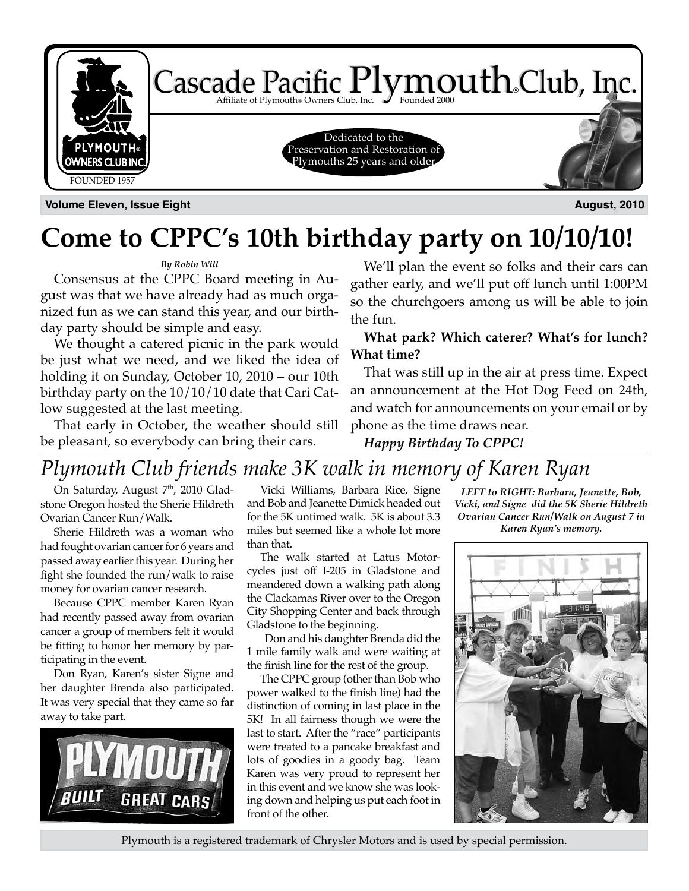

**Volume Eleven, Issue Eight August, 2010**

## **Come to CPPC's 10th birthday party on 10/10/10!**

### *By Robin Will*

Consensus at the CPPC Board meeting in August was that we have already had as much organized fun as we can stand this year, and our birthday party should be simple and easy.

We thought a catered picnic in the park would be just what we need, and we liked the idea of holding it on Sunday, October 10, 2010 – our 10th birthday party on the 10/10/10 date that Cari Catlow suggested at the last meeting.

That early in October, the weather should still be pleasant, so everybody can bring their cars.

We'll plan the event so folks and their cars can gather early, and we'll put off lunch until 1:00PM so the churchgoers among us will be able to join the fun.

**What park? Which caterer? What's for lunch? What time?**

That was still up in the air at press time. Expect an announcement at the Hot Dog Feed on 24th, and watch for announcements on your email or by phone as the time draws near.

*Happy Birthday To CPPC!*

### *Plymouth Club friends make 3K walk in memory of Karen Ryan*

On Saturday, August 7<sup>th</sup>, 2010 Gladstone Oregon hosted the Sherie Hildreth Ovarian Cancer Run/Walk.

Sherie Hildreth was a woman who had fought ovarian cancer for 6 years and passed away earlier this year. During her fight she founded the run/walk to raise money for ovarian cancer research.

Because CPPC member Karen Ryan had recently passed away from ovarian cancer a group of members felt it would be fitting to honor her memory by participating in the event.

Don Ryan, Karen's sister Signe and her daughter Brenda also participated. It was very special that they came so far away to take part.



Vicki Williams, Barbara Rice, Signe and Bob and Jeanette Dimick headed out for the 5K untimed walk. 5K is about 3.3 miles but seemed like a whole lot more than that.

The walk started at Latus Motorcycles just off I-205 in Gladstone and meandered down a walking path along the Clackamas River over to the Oregon City Shopping Center and back through Gladstone to the beginning.

 Don and his daughter Brenda did the 1 mile family walk and were waiting at the finish line for the rest of the group.

The CPPC group (other than Bob who power walked to the finish line) had the distinction of coming in last place in the 5K! In all fairness though we were the last to start. After the "race" participants were treated to a pancake breakfast and lots of goodies in a goody bag. Team Karen was very proud to represent her in this event and we know she was looking down and helping us put each foot in front of the other.

*LEFT to RIGHT: Barbara, Jeanette, Bob, Vicki, and Signe did the 5K Sherie Hildreth Ovarian Cancer Run/Walk on August 7 in Karen Ryan's memory.*



Plymouth is a registered trademark of Chrysler Motors and is used by special permission.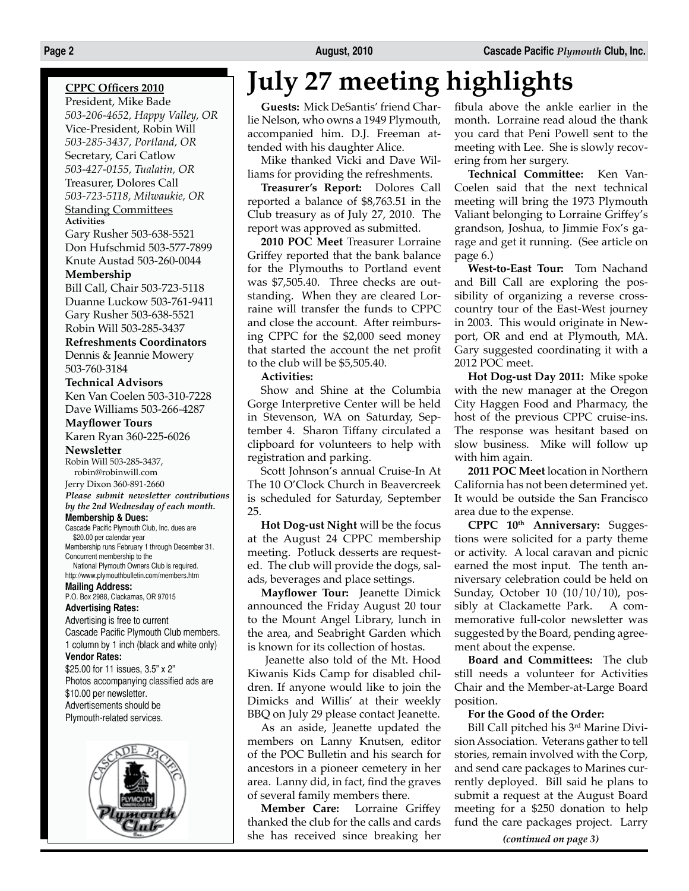### **CPPC Officers 2010**

President, Mike Bade *503-206-4652, Happy Valley, OR* Vice-President, Robin Will *503-285-3437, Portland, OR* Secretary, Cari Catlow *503-427-0155, Tualatin, OR* Treasurer, Dolores Call *503-723-5118, Milwaukie, OR* Standing Committees **Activities**

Gary Rusher 503-638-5521 Don Hufschmid 503-577-7899 Knute Austad 503-260-0044

#### **Membership**

Bill Call, Chair 503-723-5118 Duanne Luckow 503-761-9411 Gary Rusher 503-638-5521 Robin Will 503-285-3437

#### **Refreshments Coordinators**

Dennis & Jeannie Mowery 503-760-3184

#### **Technical Advisors**

Ken Van Coelen 503-310-7228 Dave Williams 503-266-4287

#### **Mayflower Tours**

Karen Ryan 360-225-6026 **Newsletter**

### Robin Will 503-285-3437,

robin@robinwill.com Jerry Dixon 360-891-2660 *Please submit newsletter contributions by the 2nd Wednesday of each month.* **Membership & Dues:**

#### Cascade Pacific Plymouth Club, Inc. dues are \$20.00 per calendar year Membership runs February 1 through December 31.

Concurrent membership to the National Plymouth Owners Club is required.

http://www.plymouthbulletin.com/members.htm **Mailing Address:**

P.O. Box 2988, Clackamas, OR 97015

#### **Advertising Rates:**

Advertising is free to current Cascade Pacific Plymouth Club members. 1 column by 1 inch (black and white only)

#### **Vendor Rates:**

\$25.00 for 11 issues, 3.5" x 2" Photos accompanying classified ads are \$10.00 per newsletter. Advertisements should be Plymouth-related services.



# **July 27 meeting highlights**

**Guests:** Mick DeSantis' friend Charlie Nelson, who owns a 1949 Plymouth, accompanied him. D.J. Freeman attended with his daughter Alice.

Mike thanked Vicki and Dave Williams for providing the refreshments.

**Treasurer's Report:** Dolores Call reported a balance of \$8,763.51 in the Club treasury as of July 27, 2010. The report was approved as submitted.

**2010 POC Meet** Treasurer Lorraine Griffey reported that the bank balance for the Plymouths to Portland event was \$7,505.40. Three checks are outstanding. When they are cleared Lorraine will transfer the funds to CPPC and close the account. After reimbursing CPPC for the \$2,000 seed money that started the account the net profit to the club will be \$5,505.40.

#### **Activities:**

Show and Shine at the Columbia Gorge Interpretive Center will be held in Stevenson, WA on Saturday, September 4. Sharon Tiffany circulated a clipboard for volunteers to help with registration and parking.

Scott Johnson's annual Cruise-In At The 10 O'Clock Church in Beavercreek is scheduled for Saturday, September 25.

**Hot Dog-ust Night** will be the focus at the August 24 CPPC membership meeting. Potluck desserts are requested. The club will provide the dogs, salads, beverages and place settings.

**Mayflower Tour:** Jeanette Dimick announced the Friday August 20 tour to the Mount Angel Library, lunch in the area, and Seabright Garden which is known for its collection of hostas.

 Jeanette also told of the Mt. Hood Kiwanis Kids Camp for disabled children. If anyone would like to join the Dimicks and Willis' at their weekly BBQ on July 29 please contact Jeanette.

As an aside, Jeanette updated the members on Lanny Knutsen, editor of the POC Bulletin and his search for ancestors in a pioneer cemetery in her area. Lanny did, in fact, find the graves of several family members there.

**Member Care:** Lorraine Griffey thanked the club for the calls and cards she has received since breaking her fibula above the ankle earlier in the month. Lorraine read aloud the thank you card that Peni Powell sent to the meeting with Lee. She is slowly recovering from her surgery.

**Technical Committee:** Ken Van-Coelen said that the next technical meeting will bring the 1973 Plymouth Valiant belonging to Lorraine Griffey's grandson, Joshua, to Jimmie Fox's garage and get it running. (See article on page 6.)

**West-to-East Tour:** Tom Nachand and Bill Call are exploring the possibility of organizing a reverse crosscountry tour of the East-West journey in 2003. This would originate in Newport, OR and end at Plymouth, MA. Gary suggested coordinating it with a 2012 POC meet.

**Hot Dog-ust Day 2011:** Mike spoke with the new manager at the Oregon City Haggen Food and Pharmacy, the host of the previous CPPC cruise-ins. The response was hesitant based on slow business. Mike will follow up with him again.

**2011 POC Meet** location in Northern California has not been determined yet. It would be outside the San Francisco area due to the expense.

**CPPC 10th Anniversary:** Suggestions were solicited for a party theme or activity. A local caravan and picnic earned the most input. The tenth anniversary celebration could be held on Sunday, October 10 (10/10/10), possibly at Clackamette Park. A commemorative full-color newsletter was suggested by the Board, pending agreement about the expense.

**Board and Committees:** The club still needs a volunteer for Activities Chair and the Member-at-Large Board position.

### **For the Good of the Order:**

Bill Call pitched his 3rd Marine Division Association. Veterans gather to tell stories, remain involved with the Corp, and send care packages to Marines currently deployed. Bill said he plans to submit a request at the August Board meeting for a \$250 donation to help fund the care packages project. Larry

*(continued on page 3)*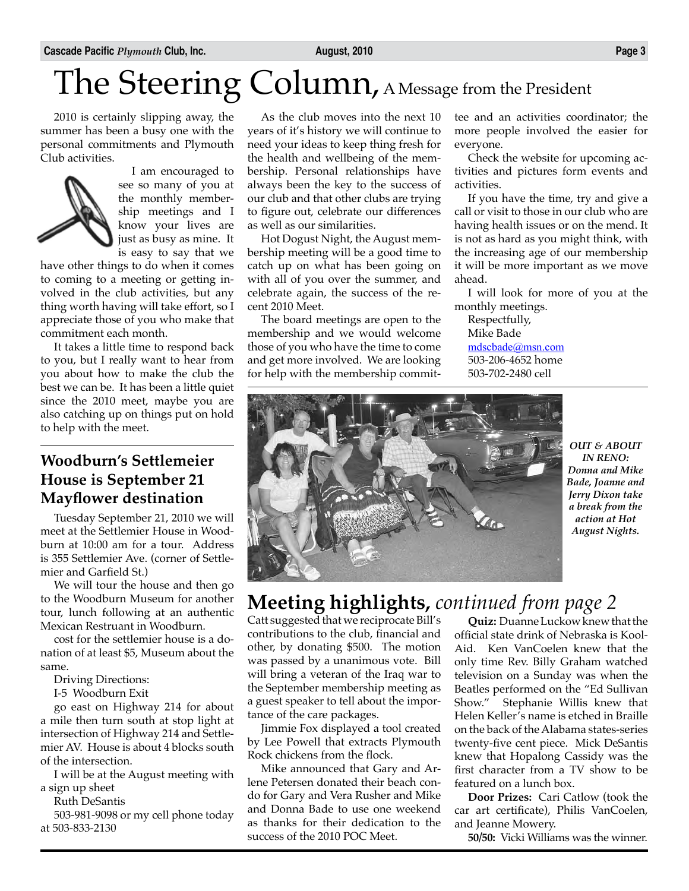# The Steering Column, A Message from the President

2010 is certainly slipping away, the summer has been a busy one with the personal commitments and Plymouth Club activities.



I am encouraged to see so many of you at the monthly membership meetings and I know your lives are just as busy as mine. It is easy to say that we

have other things to do when it comes to coming to a meeting or getting involved in the club activities, but any thing worth having will take effort, so I appreciate those of you who make that commitment each month.

It takes a little time to respond back to you, but I really want to hear from you about how to make the club the best we can be. It has been a little quiet since the 2010 meet, maybe you are also catching up on things put on hold to help with the meet.

### **Woodburn's Settlemeier House is September 21 Mayflower destination**

Tuesday September 21, 2010 we will meet at the Settlemier House in Woodburn at 10:00 am for a tour. Address is 355 Settlemier Ave. (corner of Settlemier and Garfield St.)

We will tour the house and then go to the Woodburn Museum for another tour, lunch following at an authentic Mexican Restruant in Woodburn.

cost for the settlemier house is a donation of at least \$5, Museum about the same.

Driving Directions:

I-5 Woodburn Exit

go east on Highway 214 for about a mile then turn south at stop light at intersection of Highway 214 and Settlemier AV. House is about 4 blocks south of the intersection.

I will be at the August meeting with a sign up sheet

Ruth DeSantis

503-981-9098 or my cell phone today at 503-833-2130

As the club moves into the next 10 years of it's history we will continue to need your ideas to keep thing fresh for the health and wellbeing of the membership. Personal relationships have always been the key to the success of our club and that other clubs are trying to figure out, celebrate our differences as well as our similarities.

Hot Dogust Night, the August membership meeting will be a good time to catch up on what has been going on with all of you over the summer, and celebrate again, the success of the recent 2010 Meet.

The board meetings are open to the membership and we would welcome those of you who have the time to come and get more involved. We are looking for help with the membership committee and an activities coordinator; the more people involved the easier for everyone.

Check the website for upcoming activities and pictures form events and activities.

If you have the time, try and give a call or visit to those in our club who are having health issues or on the mend. It is not as hard as you might think, with the increasing age of our membership it will be more important as we move ahead.

I will look for more of you at the monthly meetings.

Respectfully, Mike Bade mdscbade@msn.com 503-206-4652 home 503-702-2480 cell



*OUT & ABOUT IN RENO: Donna and Mike Bade, Joanne and Jerry Dixon take a break from the action at Hot August Nights.*

### **Meeting highlights,** *continued from page 2*

Catt suggested that we reciprocate Bill's contributions to the club, financial and other, by donating \$500. The motion was passed by a unanimous vote. Bill will bring a veteran of the Iraq war to the September membership meeting as a guest speaker to tell about the importance of the care packages.

Jimmie Fox displayed a tool created by Lee Powell that extracts Plymouth Rock chickens from the flock.

Mike announced that Gary and Arlene Petersen donated their beach condo for Gary and Vera Rusher and Mike and Donna Bade to use one weekend as thanks for their dedication to the success of the 2010 POC Meet.

**Quiz:** Duanne Luckow knew that the official state drink of Nebraska is Kool-Aid. Ken VanCoelen knew that the only time Rev. Billy Graham watched television on a Sunday was when the Beatles performed on the "Ed Sullivan Show." Stephanie Willis knew that Helen Keller's name is etched in Braille on the back of the Alabama states-series twenty-five cent piece. Mick DeSantis knew that Hopalong Cassidy was the first character from a TV show to be featured on a lunch box.

**Door Prizes:** Cari Catlow (took the car art certificate), Philis VanCoelen, and Jeanne Mowery.

**50/50:** Vicki Williams was the winner.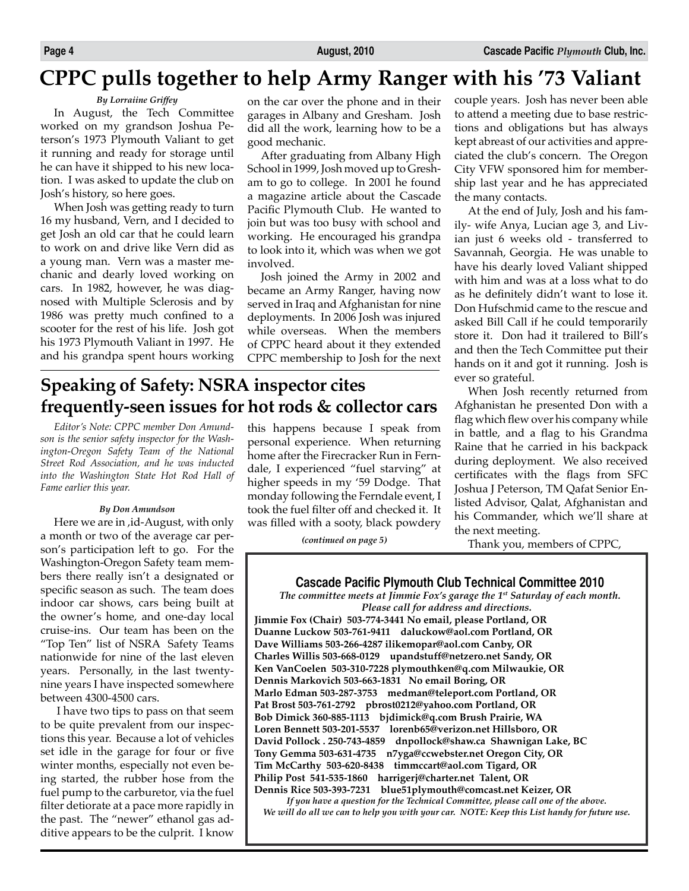### **CPPC pulls together to help Army Ranger with his '73 Valiant**

### *By Lorraiine Griffey*

In August, the Tech Committee worked on my grandson Joshua Peterson's 1973 Plymouth Valiant to get it running and ready for storage until he can have it shipped to his new location. I was asked to update the club on Josh's history, so here goes.

When Josh was getting ready to turn 16 my husband, Vern, and I decided to get Josh an old car that he could learn to work on and drive like Vern did as a young man. Vern was a master mechanic and dearly loved working on cars. In 1982, however, he was diagnosed with Multiple Sclerosis and by 1986 was pretty much confined to a scooter for the rest of his life. Josh got his 1973 Plymouth Valiant in 1997. He and his grandpa spent hours working on the car over the phone and in their garages in Albany and Gresham. Josh did all the work, learning how to be a good mechanic.

After graduating from Albany High School in 1999, Josh moved up to Gresham to go to college. In 2001 he found a magazine article about the Cascade Pacific Plymouth Club. He wanted to join but was too busy with school and working. He encouraged his grandpa to look into it, which was when we got involved.

Josh joined the Army in 2002 and became an Army Ranger, having now served in Iraq and Afghanistan for nine deployments. In 2006 Josh was injured while overseas. When the members of CPPC heard about it they extended CPPC membership to Josh for the next

### **Speaking of Safety: NSRA inspector cites frequently-seen issues for hot rods & collector cars**

*Editor's Note: CPPC member Don Amundson is the senior safety inspector for the Washington-Oregon Safety Team of the National Street Rod Association, and he was inducted into the Washington State Hot Rod Hall of Fame earlier this year.*

#### *By Don Amundson*

Here we are in ,id-August, with only a month or two of the average car person's participation left to go. For the Washington-Oregon Safety team members there really isn't a designated or specific season as such. The team does indoor car shows, cars being built at the owner's home, and one-day local cruise-ins. Our team has been on the "Top Ten" list of NSRA Safety Teams nationwide for nine of the last eleven years. Personally, in the last twentynine years I have inspected somewhere between 4300-4500 cars.

 I have two tips to pass on that seem to be quite prevalent from our inspections this year. Because a lot of vehicles set idle in the garage for four or five winter months, especially not even being started, the rubber hose from the fuel pump to the carburetor, via the fuel filter detiorate at a pace more rapidly in the past. The "newer" ethanol gas additive appears to be the culprit. I know

this happens because I speak from personal experience. When returning home after the Firecracker Run in Ferndale, I experienced "fuel starving" at higher speeds in my '59 Dodge. That monday following the Ferndale event, I took the fuel filter off and checked it. It was filled with a sooty, black powdery

*(continued on page 5)*

couple years. Josh has never been able to attend a meeting due to base restrictions and obligations but has always kept abreast of our activities and appreciated the club's concern. The Oregon City VFW sponsored him for membership last year and he has appreciated the many contacts.

At the end of July, Josh and his family- wife Anya, Lucian age 3, and Livian just 6 weeks old - transferred to Savannah, Georgia. He was unable to have his dearly loved Valiant shipped with him and was at a loss what to do as he definitely didn't want to lose it. Don Hufschmid came to the rescue and asked Bill Call if he could temporarily store it. Don had it trailered to Bill's and then the Tech Committee put their hands on it and got it running. Josh is ever so grateful.

When Josh recently returned from Afghanistan he presented Don with a flag which flew over his company while in battle, and a flag to his Grandma Raine that he carried in his backpack during deployment. We also received certificates with the flags from SFC Joshua J Peterson, TM Qafat Senior Enlisted Advisor, Qalat, Afghanistan and his Commander, which we'll share at the next meeting.

Thank you, members of CPPC,

#### **Cascade Pacific Plymouth Club Technical Committee 2010**

*The committee meets at Jimmie Fox's garage the 1st Saturday of each month. Please call for address and directions.*

**Jimmie Fox (Chair) 503-774-3441 No email, please Portland, OR Duanne Luckow 503-761-9411 daluckow@aol.com Portland, OR Dave Williams 503-266-4287 ilikemopar@aol.com Canby, OR Charles Willis 503-668-0129 upandstuff@netzero.net Sandy, OR Ken VanCoelen 503-310-7228 plymouthken@q.com Milwaukie, OR Dennis Markovich 503-663-1831 No email Boring, OR Marlo Edman 503-287-3753 medman@teleport.com Portland, OR Pat Brost 503-761-2792 pbrost0212@yahoo.com Portland, OR Bob Dimick 360-885-1113 bjdimick@q.com Brush Prairie, WA Loren Bennett 503-201-5537 lorenb65@verizon.net Hillsboro, OR David Pollock . 250-743-4859 dnpollock@shaw.ca Shawnigan Lake, BC Tony Gemma 503-631-4735 n7yga@ccwebster.net Oregon City, OR Tim McCarthy 503-620-8438 timmccart@aol.com Tigard, OR Philip Post 541-535-1860 harrigerj@charter.net Talent, OR Dennis Rice 503-393-7231 blue51plymouth@comcast.net Keizer, OR**

*If you have a question for the Technical Committee, please call one of the above. We will do all we can to help you with your car. NOTE: Keep this List handy for future use.*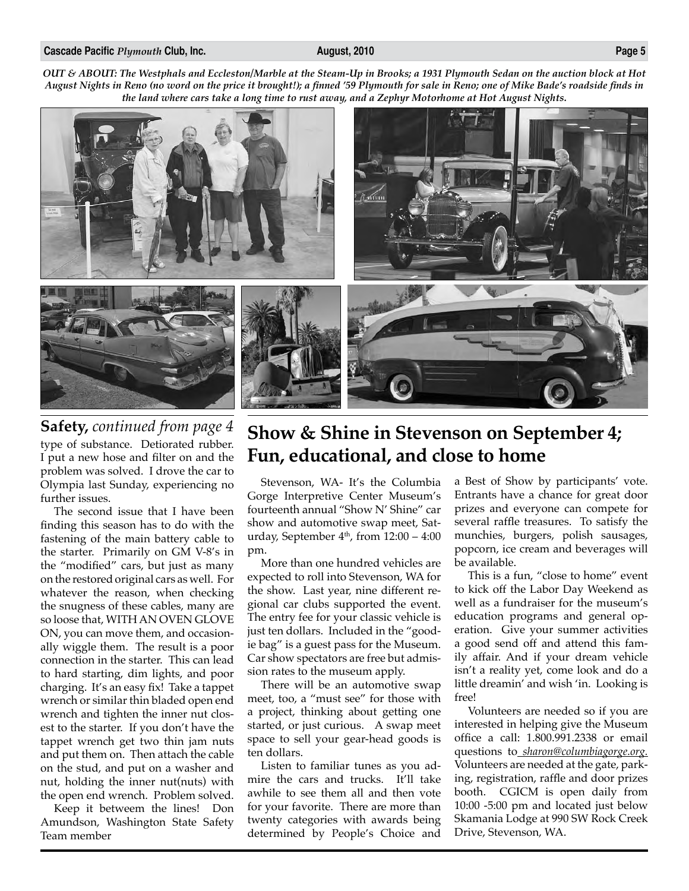#### **Cascade Pacific** *Plymouth* **Club, Inc. August, 2010 Page 5**

*OUT & ABOUT: The Westphals and Eccleston/Marble at the Steam-Up in Brooks; a 1931 Plymouth Sedan on the auction block at Hot August Nights in Reno (no word on the price it brought!); a finned '59 Plymouth for sale in Reno; one of Mike Bade's roadside finds in the land where cars take a long time to rust away, and a Zephyr Motorhome at Hot August Nights.*



type of substance. Detiorated rubber. I put a new hose and filter on and the problem was solved. I drove the car to Olympia last Sunday, experiencing no

further issues. The second issue that I have been finding this season has to do with the fastening of the main battery cable to the starter. Primarily on GM V-8's in the "modified" cars, but just as many on the restored original cars as well. For whatever the reason, when checking the snugness of these cables, many are so loose that, WITH AN OVEN GLOVE ON, you can move them, and occasionally wiggle them. The result is a poor connection in the starter. This can lead to hard starting, dim lights, and poor charging. It's an easy fix! Take a tappet wrench or similar thin bladed open end wrench and tighten the inner nut closest to the starter. If you don't have the tappet wrench get two thin jam nuts and put them on. Then attach the cable on the stud, and put on a washer and nut, holding the inner nut(nuts) with the open end wrench. Problem solved.

Keep it betweem the lines! Don Amundson, Washington State Safety Team member

### **Safety,** *continued from page 4* **Show & Shine in Stevenson on September 4; Fun, educational, and close to home**

Stevenson, WA- It's the Columbia Gorge Interpretive Center Museum's fourteenth annual "Show N' Shine" car show and automotive swap meet, Saturday, September  $4<sup>th</sup>$ , from  $12:00 - 4:00$ pm.

More than one hundred vehicles are expected to roll into Stevenson, WA for the show. Last year, nine different regional car clubs supported the event. The entry fee for your classic vehicle is just ten dollars. Included in the "goodie bag" is a guest pass for the Museum. Car show spectators are free but admission rates to the museum apply.

There will be an automotive swap meet, too, a "must see" for those with a project, thinking about getting one started, or just curious. A swap meet space to sell your gear-head goods is ten dollars.

Listen to familiar tunes as you admire the cars and trucks. It'll take awhile to see them all and then vote for your favorite. There are more than twenty categories with awards being determined by People's Choice and

a Best of Show by participants' vote. Entrants have a chance for great door prizes and everyone can compete for several raffle treasures. To satisfy the munchies, burgers, polish sausages, popcorn, ice cream and beverages will be available.

This is a fun, "close to home" event to kick off the Labor Day Weekend as well as a fundraiser for the museum's education programs and general operation. Give your summer activities a good send off and attend this family affair. And if your dream vehicle isn't a reality yet, come look and do a little dreamin' and wish 'in. Looking is free!

Volunteers are needed so if you are interested in helping give the Museum office a call: 1.800.991.2338 or email questions to *sharon@columbiagorge.org.* Volunteers are needed at the gate, parking, registration, raffle and door prizes booth. CGICM is open daily from 10:00 -5:00 pm and located just below Skamania Lodge at 990 SW Rock Creek Drive, Stevenson, WA.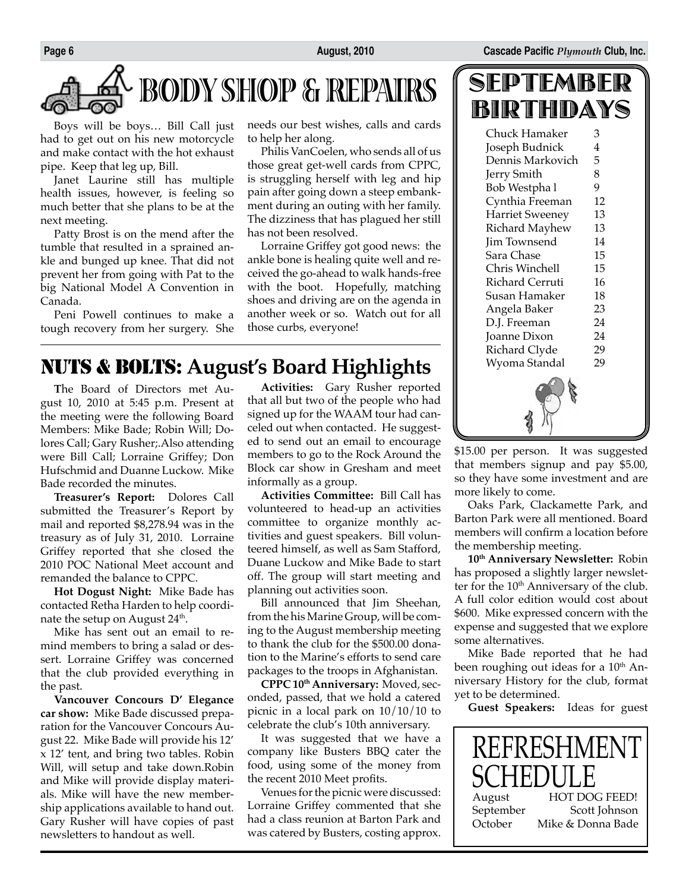

Boys will be boys… Bill Call just had to get out on his new motorcycle and make contact with the hot exhaust pipe. Keep that leg up, Bill.

Janet Laurine still has multiple health issues, however, is feeling so much better that she plans to be at the next meeting.

Patty Brost is on the mend after the tumble that resulted in a sprained ankle and bunged up knee. That did not prevent her from going with Pat to the big National Model A Convention in Canada.

Peni Powell continues to make a tough recovery from her surgery. She needs our best wishes, calls and cards to help her along.

Philis VanCoelen, who sends all of us those great get-well cards from CPPC, is struggling herself with leg and hip pain after going down a steep embankment during an outing with her family. The dizziness that has plagued her still has not been resolved.

Lorraine Griffey got good news: the ankle bone is healing quite well and received the go-ahead to walk hands-free with the boot. Hopefully, matching shoes and driving are on the agenda in another week or so. Watch out for all those curbs, everyone!

### NUTS & BOLTS: **August's Board Highlights**

**T**he Board of Directors met August 10, 2010 at 5:45 p.m. Present at the meeting were the following Board Members: Mike Bade; Robin Will; Dolores Call; Gary Rusher;.Also attending were Bill Call; Lorraine Griffey; Don Hufschmid and Duanne Luckow. Mike Bade recorded the minutes.

**Treasurer's Report:** Dolores Call submitted the Treasurer's Report by mail and reported \$8,278.94 was in the treasury as of July 31, 2010. Lorraine Griffey reported that she closed the 2010 POC National Meet account and remanded the balance to CPPC.

**Hot Dogust Night:** Mike Bade has contacted Retha Harden to help coordinate the setup on August 24<sup>th</sup>.

Mike has sent out an email to remind members to bring a salad or dessert. Lorraine Griffey was concerned that the club provided everything in the past.

**Vancouver Concours D' Elegance car show:** Mike Bade discussed preparation for the Vancouver Concours August 22. Mike Bade will provide his 12' x 12' tent, and bring two tables. Robin Will, will setup and take down.Robin and Mike will provide display materials. Mike will have the new membership applications available to hand out. Gary Rusher will have copies of past newsletters to handout as well.

**Activities:** Gary Rusher reported that all but two of the people who had signed up for the WAAM tour had canceled out when contacted. He suggested to send out an email to encourage members to go to the Rock Around the Block car show in Gresham and meet informally as a group.

**Activities Committee:** Bill Call has volunteered to head-up an activities committee to organize monthly activities and guest speakers. Bill volunteered himself, as well as Sam Stafford, Duane Luckow and Mike Bade to start off. The group will start meeting and planning out activities soon.

Bill announced that Jim Sheehan, from the his Marine Group, will be coming to the August membership meeting to thank the club for the \$500.00 donation to the Marine's efforts to send care packages to the troops in Afghanistan.

**CPPC 10th Anniversary:** Moved, seconded, passed, that we hold a catered picnic in a local park on 10/10/10 to celebrate the club's 10th anniversary.

It was suggested that we have a company like Busters BBQ cater the food, using some of the money from the recent 2010 Meet profits.

Venues for the picnic were discussed: Lorraine Griffey commented that she had a class reunion at Barton Park and was catered by Busters, costing approx.

| SEPTEMBER |  |
|-----------|--|
| BIRTHDAYS |  |

| Chuck Hamaker          | З  |  |
|------------------------|----|--|
| Joseph Budnick         | 4  |  |
| Dennis Markovich       | 5  |  |
| Jerry Smith            | 8  |  |
| Bob Westpha l          | 9  |  |
| Cynthia Freeman        | 12 |  |
| <b>Harriet Sweeney</b> | 13 |  |
| Richard Mayhew         | 13 |  |
| Jim Townsend           | 14 |  |
| Sara Chase             | 15 |  |
| Chris Winchell         | 15 |  |
| Richard Cerruti        | 16 |  |
| Susan Hamaker          | 18 |  |
| Angela Baker           | 23 |  |
| D.J. Freeman           | 24 |  |
| Joanne Dixon           | 24 |  |
| Richard Clyde          | 29 |  |
| Wyoma Standal          | 29 |  |
|                        |    |  |

\$15.00 per person. It was suggested that members signup and pay \$5.00, so they have some investment and are more likely to come.

Oaks Park, Clackamette Park, and Barton Park were all mentioned. Board members will confirm a location before the membership meeting.

**10th Anniversary Newsletter:** Robin has proposed a slightly larger newsletter for the 10<sup>th</sup> Anniversary of the club. A full color edition would cost about \$600. Mike expressed concern with the expense and suggested that we explore some alternatives.

Mike Bade reported that he had been roughing out ideas for a 10<sup>th</sup> Anniversary History for the club, format yet to be determined.

**Guest Speakers:** Ideas for guest

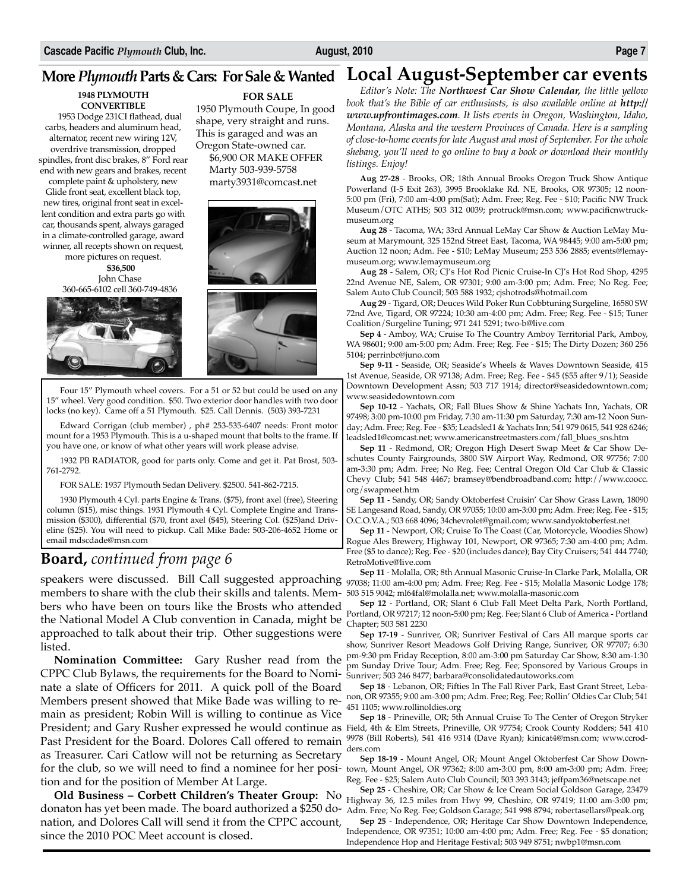**1948 PLYMOUTH CONVERTIBLE**

1953 Dodge 231CI flathead, dual carbs, headers and aluminum head, alternator, recent new wiring 12V, overdrive transmission, dropped spindles, front disc brakes, 8" Ford rear end with new gears and brakes, recent complete paint & upholstery, new Glide front seat, excellent black top,

new tires, original front seat in excellent condition and extra parts go with car, thousands spent, always garaged in a climate-controlled garage, award winner, all recepts shown on request,

more pictures on request.

**\$36,500** John Chase 360-665-6102 cell 360-749-4836



**FOR SALE**

1950 Plymouth Coupe, In good shape, very straight and runs. This is garaged and was an Oregon State-owned car. \$6,900 OR MAKE OFFER Marty 503-939-5758 marty3931@comcast.net



Four 15" Plymouth wheel covers. For a 51 or 52 but could be used on any 15" wheel. Very good condition. \$50. Two exterior door handles with two door locks (no key). Came off a 51 Plymouth. \$25. Call Dennis. (503) 393-7231

Edward Corrigan (club member) , ph# 253-535-6407 needs: Front motor mount for a 1953 Plymouth. This is a u-shaped mount that bolts to the frame. If you have one, or know of what other years will work please advise.

1932 PB RADIATOR, good for parts only. Come and get it. Pat Brost, 503- 761-2792.

FOR SALE: 1937 Plymouth Sedan Delivery. \$2500. 541-862-7215.

1930 Plymouth 4 Cyl. parts Engine & Trans. (\$75), front axel (free), Steering column (\$15), misc things. 1931 Plymouth 4 Cyl. Complete Engine and Transmission (\$300), differential (\$70, front axel (\$45), Steering Col. (\$25)and Driveline (\$25). You will need to pickup. Call Mike Bade: 503-206-4652 Home or email mdscdade@msn.com

### **Board,** *continued from page 6*

members to share with the club their skills and talents. Mem- 503 515 9042; m164fal@molalla.net; www.molalla-masonic.com the National Model A Club convention in Canada, might be  $\frac{\text{Constant}}{\text{Chapter}; 503\,581\,2230}$ bers who have been on tours like the Brosts who attended approached to talk about their trip. Other suggestions were listed.

CPPC Club Bylaws, the requirements for the Board to Nomi- sunriver; 503 246 8477; barbara@consolidatedautoworks.com Members present showed that Mike Bade was willing to re- non, OR 97355; 9:00 am-3:00 pm; Adm. Free; Reg. Fee; Rollin' Oldies Car Club; 541 for the club, so we will need to find a nominee for her posi- town, Mount Angel, OR 97362; 8:00 am-3:00 pm, 8:00 am-3:00 pm; Adm. Free; nate a slate of Officers for 2011. A quick poll of the Board main as president; Robin Will is willing to continue as Vice Past President for the Board. Dolores Call offered to remain as Treasurer. Cari Catlow will not be returning as Secretary tion and for the position of Member At Large.

donaton has yet been made. The board authorized a \$250 do- Adm. Free; No Reg. Fee; Goldson Garage; 541 998 8794; robertasellars@peak.org **Old Business – Corbett Children's Theater Group:** No nation, and Dolores Call will send it from the CPPC account, since the 2010 POC Meet account is closed.

### **More** *Plymouth* **Parts & Cars: For Sale & Wanted Local August-September car events**

*Editor's Note: The Northwest Car Show Calendar, the little yellow book that's the Bible of car enthusiasts, is also available online at http:// www.upfrontimages.com. It lists events in Oregon, Washington, Idaho, Montana, Alaska and the western Provinces of Canada. Here is a sampling of close-to-home events for late August and most of September. For the whole shebang, you'll need to go online to buy a book or download their monthly listings. Enjoy!*

**Aug 27-28** - Brooks, OR; 18th Annual Brooks Oregon Truck Show Antique Powerland (I-5 Exit 263), 3995 Brooklake Rd. NE, Brooks, OR 97305; 12 noon-5:00 pm (Fri), 7:00 am-4:00 pm(Sat); Adm. Free; Reg. Fee - \$10; Pacific NW Truck Museum/OTC ATHS; 503 312 0039; protruck@msn.com; www.pacificnwtruckmuseum.org

**Aug 28** - Tacoma, WA; 33rd Annual LeMay Car Show & Auction LeMay Museum at Marymount, 325 152nd Street East, Tacoma, WA 98445; 9:00 am-5:00 pm; Auction 12 noon; Adm. Fee - \$10; LeMay Museum; 253 536 2885; events@lemaymuseum.org; www.lemaymuseum.org

**Aug 28** - Salem, OR; CJ's Hot Rod Picnic Cruise-In CJ's Hot Rod Shop, 4295 22nd Avenue NE, Salem, OR 97301; 9:00 am-3:00 pm; Adm. Free; No Reg. Fee; Salem Auto Club Council; 503 588 1932; cjshotrods@hotmail.com

**Aug 29** - Tigard, OR; Deuces Wild Poker Run Cobbtuning Surgeline, 16580 SW 72nd Ave, Tigard, OR 97224; 10:30 am-4:00 pm; Adm. Free; Reg. Fee - \$15; Tuner Coalition/Surgeline Tuning; 971 241 5291; two-b@live.com

**Sep 4** - Amboy, WA; Cruise To The Country Amboy Territorial Park, Amboy, WA 98601; 9:00 am-5:00 pm; Adm. Free; Reg. Fee - \$15; The Dirty Dozen; 360 256 5104; perrinbc@juno.com

**Sep 9-11** - Seaside, OR; Seaside's Wheels & Waves Downtown Seaside, 415 1st Avenue, Seaside, OR 97138; Adm. Free; Reg. Fee - \$45 (\$55 after 9/1); Seaside Downtown Development Assn; 503 717 1914; director@seasidedowntown.com; www.seasidedowntown.com

**Sep 10-12** - Yachats, OR; Fall Blues Show & Shine Yachats Inn, Yachats, OR 97498; 3:00 pm-10:00 pm Friday, 7:30 am-11:30 pm Saturday, 7:30 am-12 Noon Sunday; Adm. Free; Reg. Fee - \$35; Leadsled1 & Yachats Inn; 541 979 0615, 541 928 6246; leadsled1@comcast.net; www.americanstreetmasters.com/fall\_blues\_sns.htm

**Sep 11** - Redmond, OR; Oregon High Desert Swap Meet & Car Show Deschutes County Fairgrounds, 3800 SW Airport Way, Redmond, OR 97756; 7:00 am-3:30 pm; Adm. Free; No Reg. Fee; Central Oregon Old Car Club & Classic Chevy Club; 541 548 4467; bramsey@bendbroadband.com; http://www.coocc. org/swapmeet.htm

**Sep 11** - Sandy, OR; Sandy Oktoberfest Cruisin' Car Show Grass Lawn, 18090 SE Langesand Road, Sandy, OR 97055; 10:00 am-3:00 pm; Adm. Free; Reg. Fee - \$15; O.C.O.V.A.; 503 668 4096; 34chevrolet@gmail.com; www.sandyoktoberfest.net

**Sep 11** - Newport, OR; Cruise To The Coast (Car, Motorcycle, Woodies Show) Rogue Ales Brewery, Highway 101, Newport, OR 97365; 7:30 am-4:00 pm; Adm. Free (\$5 to dance); Reg. Fee - \$20 (includes dance); Bay City Cruisers; 541 444 7740; RetroMotive@live.com

**Sep 11** - Molalla, OR; 8th Annual Masonic Cruise-In Clarke Park, Molalla, OR speakers were discussed. Bill Call suggested approaching 97038; 11:00 am-4:00 pm; Adm. Free; Reg. Fee - \$15; Molalla Masonic Lodge 178;

**Sep 12** - Portland, OR; Slant 6 Club Fall Meet Delta Park, North Portland, Portland, OR 97217; 12 noon-5:00 pm; Reg. Fee; Slant 6 Club of America - Portland

**Sep 17-19** - Sunriver, OR; Sunriver Festival of Cars All marque sports car show, Sunriver Resort Meadows Golf Driving Range, Sunriver, OR 97707; 6:30 pm-9:30 pm Friday Reception, 8:00 am-3:00 pm Saturday Car Show, 8:30 am-1:30 **Nomination Committee:** Gary Rusher read from the  $\mu$ m-9.50 pm rinary Reception, 6.00 ant-5.00 pm statutary Car 5now, 6.50 ant-1.50 pm Sunday Drive Tour; Adm. Free; Reg. Fee; Sponsored by Various Groups in

> **Sep 18** - Lebanon, OR; Fifties In The Fall River Park, East Grant Street, Leba-451 1105; www.rollinoldies.org

**Sep 18** - Prineville, OR; 5th Annual Cruise To The Center of Oregon Stryker President; and Gary Rusher expressed he would continue as Field, 4th & Elm Streets, Prineville, OR 97754; Crook County Rodders; 541 410 9978 (Bill Roberts), 541 416 9314 (Dave Ryan); kinicat4@msn.com; www.ccrodders.com

> **Sep 18-19** - Mount Angel, OR; Mount Angel Oktoberfest Car Show Down-Reg. Fee - \$25; Salem Auto Club Council; 503 393 3143; jeffpam36@netscape.net

> **Sep 25** - Cheshire, OR; Car Show & Ice Cream Social Goldson Garage, 23479 Highway 36, 12.5 miles from Hwy 99, Cheshire, OR 97419; 11:00 am-3:00 pm;

> **Sep 25** - Independence, OR; Heritage Car Show Downtown Independence, Independence, OR 97351; 10:00 am-4:00 pm; Adm. Free; Reg. Fee - \$5 donation; Independence Hop and Heritage Festival; 503 949 8751; nwbp1@msn.com